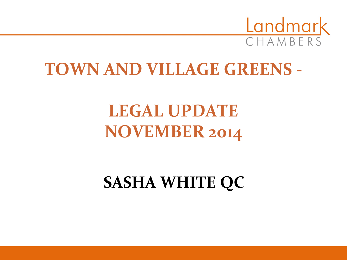

# **TOWN AND VILLAGE GREENS -**

# **LEGAL UPDATE NOVEMBER 2014**

# **SASHA WHITE QC**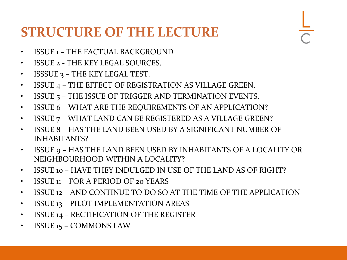### **STRUCTURE OF THE LECTURE**

- ISSUE 1 THE FACTUAL BACKGROUND
- ISSUE 2 THE KEY LEGAL SOURCES.
- ISSSUE 3 THE KEY LEGAL TEST.
- ISSUE 4 THE EFFECT OF REGISTRATION AS VILLAGE GREEN.
- ISSUE 5 THE ISSUE OF TRIGGER AND TERMINATION EVENTS.
- ISSUE 6 WHAT ARE THE REQUIREMENTS OF AN APPLICATION?
- ISSUE 7 WHAT LAND CAN BE REGISTERED AS A VILLAGE GREEN?
- ISSUE 8 HAS THE LAND BEEN USED BY A SIGNIFICANT NUMBER OF INHABITANTS?
- ISSUE 9 HAS THE LAND BEEN USED BY INHABITANTS OF A LOCALITY OR NEIGHBOURHOOD WITHIN A LOCALITY?
- ISSUE 10 HAVE THEY INDULGED IN USE OF THE LAND AS OF RIGHT?
- ISSUE 11 FOR A PERIOD OF 20 YEARS
- ISSUE 12 AND CONTINUE TO DO SO AT THE TIME OF THE APPLICATION
- ISSUE 13 PILOT IMPLEMENTATION AREAS
- ISSUE 14 RECTIFICATION OF THE REGISTER
- ISSUE 15 COMMONS LAW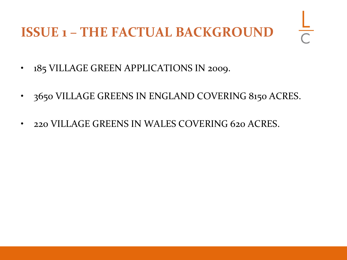## **ISSUE 1 – THE FACTUAL BACKGROUND**

- 185 VILLAGE GREEN APPLICATIONS IN 2009.
- 3650 VILLAGE GREENS IN ENGLAND COVERING 8150 ACRES.
- 220 VILLAGE GREENS IN WALES COVERING 620 ACRES.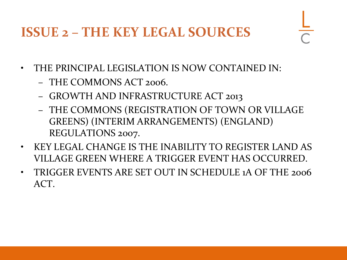### **ISSUE 2 – THE KEY LEGAL SOURCES**

- THE PRINCIPAL LEGISLATION IS NOW CONTAINED IN:
	- THE COMMONS ACT 2006.
	- GROWTH AND INFRASTRUCTURE ACT 2013
	- THE COMMONS (REGISTRATION OF TOWN OR VILLAGE GREENS) (INTERIM ARRANGEMENTS) (ENGLAND) REGULATIONS 2007.
- KEY LEGAL CHANGE IS THE INABILITY TO REGISTER LAND AS VILLAGE GREEN WHERE A TRIGGER EVENT HAS OCCURRED.
- TRIGGER EVENTS ARE SET OUT IN SCHEDULE 1A OF THE 2006 ACT.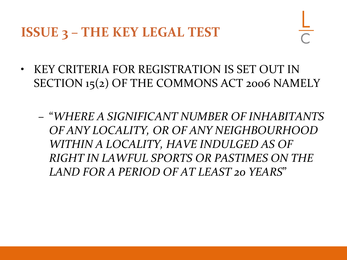**ISSUE 3 – THE KEY LEGAL TEST**

- KEY CRITERIA FOR REGISTRATION IS SET OUT IN SECTION 15(2) OF THE COMMONS ACT 2006 NAMELY
	- "*WHERE A SIGNIFICANT NUMBER OF INHABITANTS OF ANY LOCALITY, OR OF ANY NEIGHBOURHOOD WITHIN A LOCALITY, HAVE INDULGED AS OF RIGHT IN LAWFUL SPORTS OR PASTIMES ON THE LAND FOR A PERIOD OF AT LEAST 20 YEARS*"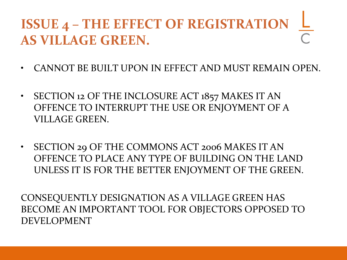# **ISSUE 4 – THE EFFECT OF REGISTRATION AS VILLAGE GREEN.**

- CANNOT BE BUILT UPON IN EFFECT AND MUST REMAIN OPEN.
- SECTION 12 OF THE INCLOSURE ACT 1857 MAKES IT AN OFFENCE TO INTERRUPT THE USE OR ENJOYMENT OF A VILLAGE GREEN.
- SECTION 29 OF THE COMMONS ACT 2006 MAKES IT AN OFFENCE TO PLACE ANY TYPE OF BUILDING ON THE LAND UNLESS IT IS FOR THE BETTER ENJOYMENT OF THE GREEN.

CONSEQUENTLY DESIGNATION AS A VILLAGE GREEN HAS BECOME AN IMPORTANT TOOL FOR OBJECTORS OPPOSED TO DEVELOPMENT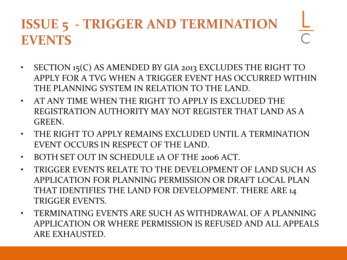## **ISSUE 5 - TRIGGER AND TERMINATION EVENTS**

- SECTION 15(C) AS AMENDED BY GIA 2013 EXCLUDES THE RIGHT TO APPLY FOR A TVG WHEN A TRIGGER EVENT HAS OCCURRED WITHIN THE PLANNING SYSTEM IN RELATION TO THE LAND.
- AT ANY TIME WHEN THE RIGHT TO APPLY IS EXCLUDED THE REGISTRATION AUTHORITY MAY NOT REGISTER THAT LAND AS A GREEN.
- THE RIGHT TO APPLY REMAINS EXCLUDED UNTIL A TERMINATION EVENT OCCURS IN RESPECT OF THE LAND.
- BOTH SET OUT IN SCHEDULE 1A OF THE 2006 ACT.
- TRIGGER EVENTS RELATE TO THE DEVELOPMENT OF LAND SUCH AS APPLICATION FOR PLANNING PERMISSION OR DRAFT LOCAL PLAN THAT IDENTIFIES THE LAND FOR DEVELOPMENT. THERE ARE 14 TRIGGER EVENTS.
- TERMINATING EVENTS ARE SUCH AS WITHDRAWAL OF A PLANNING APPLICATION OR WHERE PERMISSION IS REFUSED AND ALL APPEALS ARE EXHAUSTED.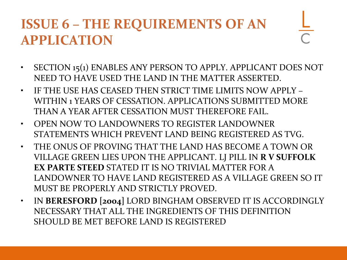## **ISSUE 6 – THE REQUIREMENTS OF AN APPLICATION**

- SECTION 15(1) ENABLES ANY PERSON TO APPLY. APPLICANT DOES NOT NEED TO HAVE USED THE LAND IN THE MATTER ASSERTED.
- IF THE USE HAS CEASED THEN STRICT TIME LIMITS NOW APPLY WITHIN 1 YEARS OF CESSATION. APPLICATIONS SUBMITTED MORE THAN A YEAR AFTER CESSATION MUST THEREFORE FAIL.
- OPEN NOW TO LANDOWNERS TO REGISTER LANDOWNER STATEMENTS WHICH PREVENT LAND BEING REGISTERED AS TVG.
- THE ONUS OF PROVING THAT THE LAND HAS BECOME A TOWN OR VILLAGE GREEN LIES UPON THE APPLICANT. LJ PILL IN **R V SUFFOLK EX PARTE STEED** STATED IT IS NO TRIVIAL MATTER FOR A LANDOWNER TO HAVE LAND REGISTERED AS A VILLAGE GREEN SO IT MUST BE PROPERLY AND STRICTLY PROVED.
- IN **BERESFORD [2004]** LORD BINGHAM OBSERVED IT IS ACCORDINGLY NECESSARY THAT ALL THE INGREDIENTS OF THIS DEFINITION SHOULD BE MET BEFORE LAND IS REGISTERED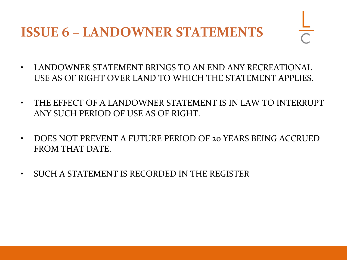### **ISSUE 6 – LANDOWNER STATEMENTS**

- LANDOWNER STATEMENT BRINGS TO AN END ANY RECREATIONAL USE AS OF RIGHT OVER LAND TO WHICH THE STATEMENT APPLIES.
- THE EFFECT OF A LANDOWNER STATEMENT IS IN LAW TO INTERRUPT ANY SUCH PERIOD OF USE AS OF RIGHT.
- DOES NOT PREVENT A FUTURE PERIOD OF 20 YEARS BEING ACCRUED FROM THAT DATE.
- SUCH A STATEMENT IS RECORDED IN THE REGISTER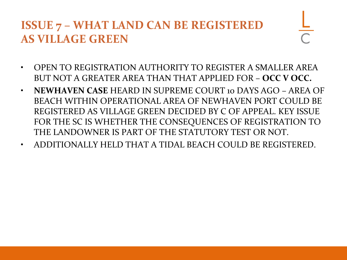#### **ISSUE 7 – WHAT LAND CAN BE REGISTERED AS VILLAGE GREEN**

- 
- OPEN TO REGISTRATION AUTHORITY TO REGISTER A SMALLER AREA BUT NOT A GREATER AREA THAN THAT APPLIED FOR – **OCC V OCC.**
- **NEWHAVEN CASE** HEARD IN SUPREME COURT 10 DAYS AGO AREA OF BEACH WITHIN OPERATIONAL AREA OF NEWHAVEN PORT COULD BE REGISTERED AS VILLAGE GREEN DECIDED BY C OF APPEAL. KEY ISSUE FOR THE SC IS WHETHER THE CONSEQUENCES OF REGISTRATION TO THE LANDOWNER IS PART OF THE STATUTORY TEST OR NOT.
- ADDITIONALLY HELD THAT A TIDAL BEACH COULD BE REGISTERED.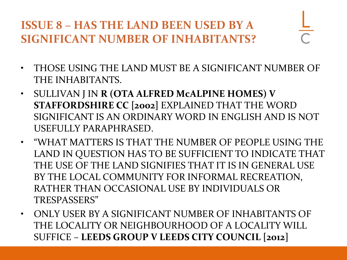#### **ISSUE 8 – HAS THE LAND BEEN USED BY A SIGNIFICANT NUMBER OF INHABITANTS?**

- THOSE USING THE LAND MUST BE A SIGNIFICANT NUMBER OF THE INHABITANTS.
- SULLIVAN J IN **R (OTA ALFRED McALPINE HOMES) V STAFFORDSHIRE CC [2002]** EXPLAINED THAT THE WORD SIGNIFICANT IS AN ORDINARY WORD IN ENGLISH AND IS NOT USEFULLY PARAPHRASED.
- "WHAT MATTERS IS THAT THE NUMBER OF PEOPLE USING THE LAND IN QUESTION HAS TO BE SUFFICIENT TO INDICATE THAT THE USE OF THE LAND SIGNIFIES THAT IT IS IN GENERAL USE BY THE LOCAL COMMUNITY FOR INFORMAL RECREATION, RATHER THAN OCCASIONAL USE BY INDIVIDUALS OR TRESPASSERS"
- ONLY USER BY A SIGNIFICANT NUMBER OF INHABITANTS OF THE LOCALITY OR NEIGHBOURHOOD OF A LOCALITY WILL SUFFICE – **LEEDS GROUP V LEEDS CITY COUNCIL [2012]**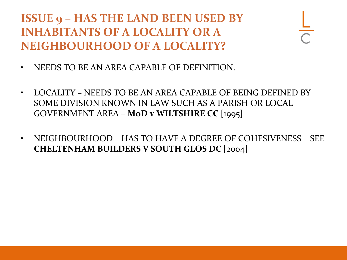**ISSUE 9 – HAS THE LAND BEEN USED BY INHABITANTS OF A LOCALITY OR A NEIGHBOURHOOD OF A LOCALITY?**

- NEEDS TO BE AN AREA CAPABLE OF DEFINITION.
- LOCALITY NEEDS TO BE AN AREA CAPABLE OF BEING DEFINED BY SOME DIVISION KNOWN IN LAW SUCH AS A PARISH OR LOCAL GOVERNMENT AREA – **MoD v WILTSHIRE CC** [1995]
- NEIGHBOURHOOD HAS TO HAVE A DEGREE OF COHESIVENESS SEE **CHELTENHAM BUILDERS V SOUTH GLOS DC** [2004]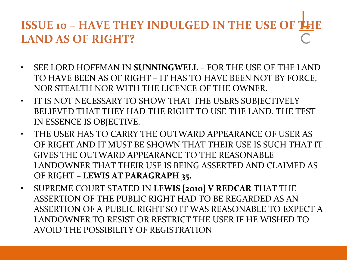#### **ISSUE 10 – HAVE THEY INDULGED IN THE USE OF THE LAND AS OF RIGHT?**

- SEE LORD HOFFMAN IN **SUNNINGWELL** FOR THE USE OF THE LAND TO HAVE BEEN AS OF RIGHT – IT HAS TO HAVE BEEN NOT BY FORCE, NOR STEALTH NOR WITH THE LICENCE OF THE OWNER.
- IT IS NOT NECESSARY TO SHOW THAT THE USERS SUBJECTIVELY BELIEVED THAT THEY HAD THE RIGHT TO USE THE LAND. THE TEST IN ESSENCE IS OBJECTIVE.
- THE USER HAS TO CARRY THE OUTWARD APPEARANCE OF USER AS OF RIGHT AND IT MUST BE SHOWN THAT THEIR USE IS SUCH THAT IT GIVES THE OUTWARD APPEARANCE TO THE REASONABLE LANDOWNER THAT THEIR USE IS BEING ASSERTED AND CLAIMED AS OF RIGHT – **LEWIS AT PARAGRAPH 35.**
- SUPREME COURT STATED IN **LEWIS [2010] V REDCAR** THAT THE ASSERTION OF THE PUBLIC RIGHT HAD TO BE REGARDED AS AN ASSERTION OF A PUBLIC RIGHT SO IT WAS REASONABLE TO EXPECT A LANDOWNER TO RESIST OR RESTRICT THE USER IF HE WISHED TO AVOID THE POSSIBILITY OF REGISTRATION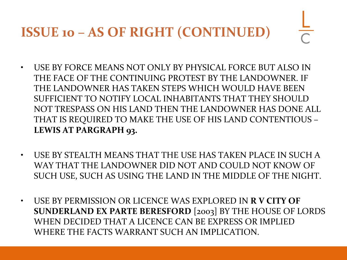## **ISSUE 10 – AS OF RIGHT (CONTINUED)**

- USE BY FORCE MEANS NOT ONLY BY PHYSICAL FORCE BUT ALSO IN THE FACE OF THE CONTINUING PROTEST BY THE LANDOWNER. IF THE LANDOWNER HAS TAKEN STEPS WHICH WOULD HAVE BEEN SUFFICIENT TO NOTIFY LOCAL INHABITANTS THAT THEY SHOULD NOT TRESPASS ON HIS LAND THEN THE LANDOWNER HAS DONE ALL THAT IS REQUIRED TO MAKE THE USE OF HIS LAND CONTENTIOUS – **LEWIS AT PARGRAPH 93.**
- USE BY STEALTH MEANS THAT THE USE HAS TAKEN PLACE IN SUCH A WAY THAT THE LANDOWNER DID NOT AND COULD NOT KNOW OF SUCH USE, SUCH AS USING THE LAND IN THE MIDDLE OF THE NIGHT.
- USE BY PERMISSION OR LICENCE WAS EXPLORED IN **R V CITY OF SUNDERLAND EX PARTE BERESFORD** [2003] BY THE HOUSE OF LORDS WHEN DECIDED THAT A LICENCE CAN BE EXPRESS OR IMPLIED WHERE THE FACTS WARRANT SUCH AN IMPLICATION.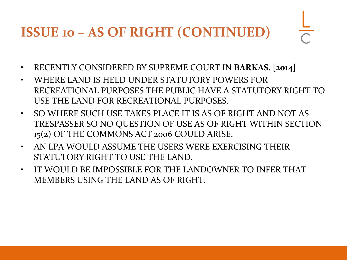# **ISSUE 10 – AS OF RIGHT (CONTINUED)**

- RECENTLY CONSIDERED BY SUPREME COURT IN **BARKAS. [2014]**
- WHERE LAND IS HELD UNDER STATUTORY POWERS FOR RECREATIONAL PURPOSES THE PUBLIC HAVE A STATUTORY RIGHT TO USE THE LAND FOR RECREATIONAL PURPOSES.
- SO WHERE SUCH USE TAKES PLACE IT IS AS OF RIGHT AND NOT AS TRESPASSER SO NO QUESTION OF USE AS OF RIGHT WITHIN SECTION 15(2) OF THE COMMONS ACT 2006 COULD ARISE.
- AN LPA WOULD ASSUME THE USERS WERE EXERCISING THEIR STATUTORY RIGHT TO USE THE LAND.
- IT WOULD BE IMPOSSIBLE FOR THE LANDOWNER TO INFER THAT MEMBERS USING THE LAND AS OF RIGHT.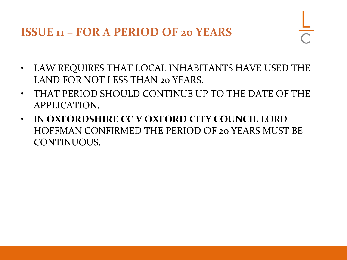**ISSUE 11 – FOR A PERIOD OF 20 YEARS**

- LAW REQUIRES THAT LOCAL INHABITANTS HAVE USED THE LAND FOR NOT LESS THAN 20 YEARS.
- THAT PERIOD SHOULD CONTINUE UP TO THE DATE OF THE APPLICATION.
- IN **OXFORDSHIRE CC V OXFORD CITY COUNCIL** LORD HOFFMAN CONFIRMED THE PERIOD OF 20 YEARS MUST BE CONTINUOUS.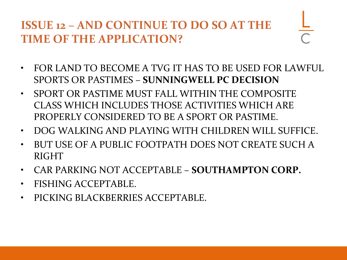#### **ISSUE 12 – AND CONTINUE TO DO SO AT THE TIME OF THE APPLICATION?**

- FOR LAND TO BECOME A TVG IT HAS TO BE USED FOR LAWFUL SPORTS OR PASTIMES – **SUNNINGWELL PC DECISION**
- SPORT OR PASTIME MUST FALL WITHIN THE COMPOSITE CLASS WHICH INCLUDES THOSE ACTIVITIES WHICH ARE PROPERLY CONSIDERED TO BE A SPORT OR PASTIME.
- DOG WALKING AND PLAYING WITH CHILDREN WILL SUFFICE.
- BUT USE OF A PUBLIC FOOTPATH DOES NOT CREATE SUCH A RIGHT
- CAR PARKING NOT ACCEPTABLE **SOUTHAMPTON CORP.**
- FISHING ACCEPTABLE.
- PICKING BLACKBERRIES ACCEPTABLE.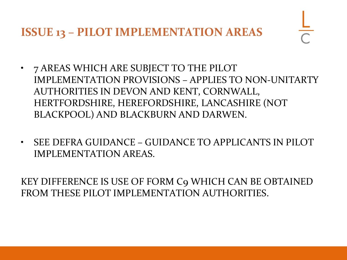**ISSUE 13 – PILOT IMPLEMENTATION AREAS**

- 7 AREAS WHICH ARE SUBJECT TO THE PILOT IMPLEMENTATION PROVISIONS – APPLIES TO NON-UNITARTY AUTHORITIES IN DEVON AND KENT, CORNWALL, HERTFORDSHIRE, HEREFORDSHIRE, LANCASHIRE (NOT BLACKPOOL) AND BLACKBURN AND DARWEN.
- SEE DEFRA GUIDANCE GUIDANCE TO APPLICANTS IN PILOT IMPLEMENTATION AREAS.

KEY DIFFERENCE IS USE OF FORM C9 WHICH CAN BE OBTAINED FROM THESE PILOT IMPLEMENTATION AUTHORITIES.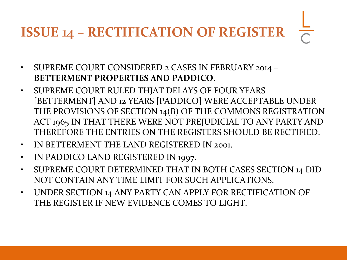# **ISSUE 14 – RECTIFICATION OF REGISTER**

- SUPREME COURT CONSIDERED 2 CASES IN FEBRUARY 2014 -**BETTERMENT PROPERTIES AND PADDICO**.
- SUPREME COURT RULED THJAT DELAYS OF FOUR YEARS [BETTERMENT] AND 12 YEARS [PADDICO] WERE ACCEPTABLE UNDER THE PROVISIONS OF SECTION 14(B) OF THE COMMONS REGISTRATION ACT 1965 IN THAT THERE WERE NOT PREJUDICIAL TO ANY PARTY AND THEREFORE THE ENTRIES ON THE REGISTERS SHOULD BE RECTIFIED.
- IN BETTERMENT THE LAND REGISTERED IN 2001.
- IN PADDICO LAND REGISTERED IN 1997.
- SUPREME COURT DETERMINED THAT IN BOTH CASES SECTION 14 DID NOT CONTAIN ANY TIME LIMIT FOR SUCH APPLICATIONS.
- UNDER SECTION 14 ANY PARTY CAN APPLY FOR RECTIFICATION OF THE REGISTER IF NEW EVIDENCE COMES TO LIGHT.